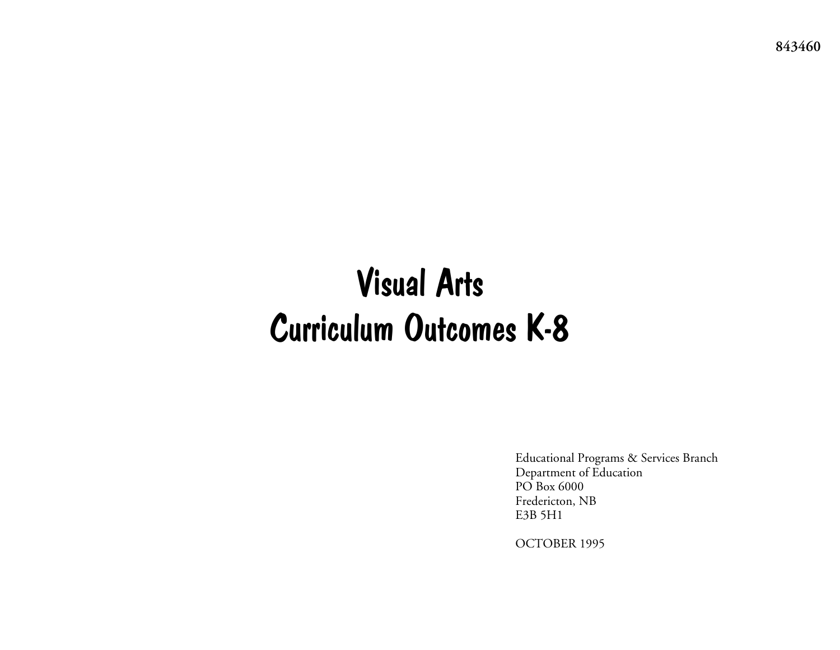Visual Arts Curriculum Outcomes K-8

> Educational Programs & Services Branch Department of Education PO Box 6000 Fredericton, NB E3B 5H1

OCTOBER 1995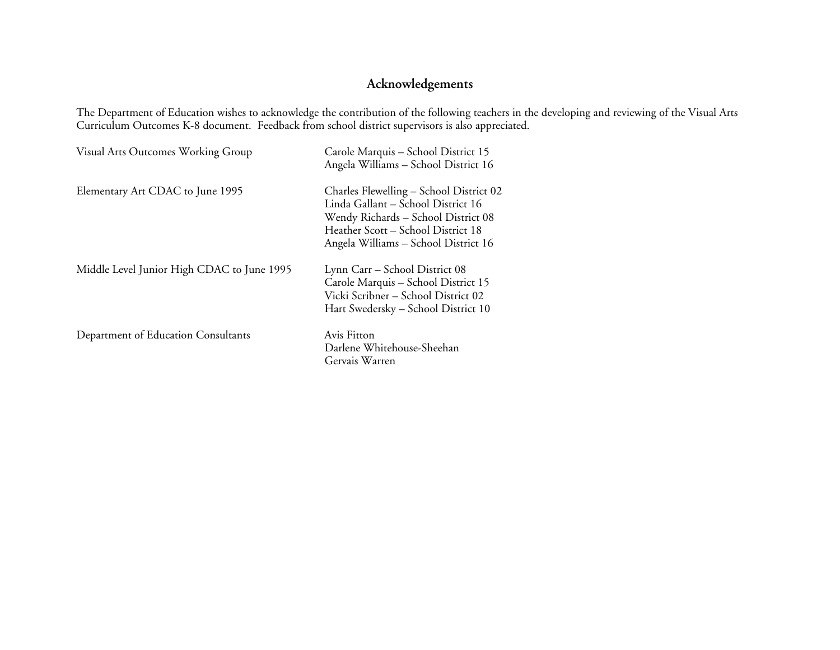# **Acknowledgements**

The Department of Education wishes to acknowledge the contribution of the following teachers in the developing and reviewing of the Visual Arts Curriculum Outcomes K-8 document. Feedback from school district supervisors is also appreciated.

| Visual Arts Outcomes Working Group         | Carole Marquis - School District 15<br>Angela Williams - School District 16                                                                                                                        |
|--------------------------------------------|----------------------------------------------------------------------------------------------------------------------------------------------------------------------------------------------------|
| Elementary Art CDAC to June 1995           | Charles Flewelling – School District 02<br>Linda Gallant – School District 16<br>Wendy Richards - School District 08<br>Heather Scott - School District 18<br>Angela Williams - School District 16 |
| Middle Level Junior High CDAC to June 1995 | Lynn Carr – School District 08<br>Carole Marquis - School District 15<br>Vicki Scribner - School District 02<br>Hart Swedersky – School District 10                                                |
| Department of Education Consultants        | Avis Fitton<br>Darlene Whitehouse-Sheehan<br>Gervais Warren                                                                                                                                        |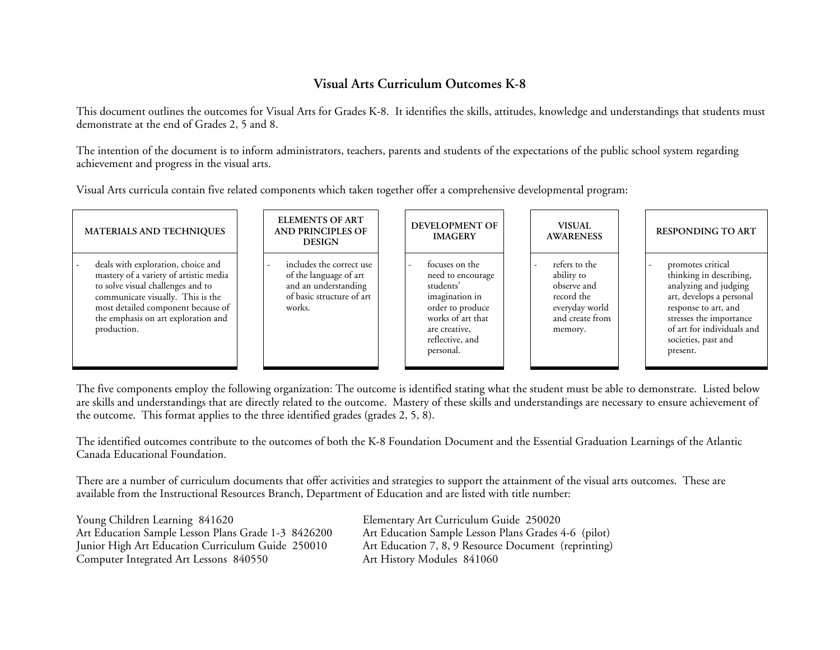## **Visual Arts Curriculum Outcomes K-8**

This document outlines the outcomes for Visual Arts for Grades K-8. It identifies the skills, attitudes, knowledge and understandings that students must demonstrate at the end of Grades 2, 5 and 8.

The intention of the document is to inform administrators, teachers, parents and students of the expectations of the public school system regarding achievement and progress in the visual arts.

Visual Arts curricula contain five related components which taken together offer a comprehensive developmental program:

| <b>MATERIALS AND TECHNIQUES</b>                                                                                                                                                                                                                    | <b>ELEMENTS OF ART</b><br><b>AND PRINCIPLES OF</b><br><b>DESIGN</b>                                               | <b>DEVELOPMENT OF</b><br><b>IMAGERY</b>                                                                                                                      | <b>VISUAL</b><br><b>AWARENESS</b>                                                                        | <b>RESPONDING TO ART</b>                                                                                                                                                                                              |
|----------------------------------------------------------------------------------------------------------------------------------------------------------------------------------------------------------------------------------------------------|-------------------------------------------------------------------------------------------------------------------|--------------------------------------------------------------------------------------------------------------------------------------------------------------|----------------------------------------------------------------------------------------------------------|-----------------------------------------------------------------------------------------------------------------------------------------------------------------------------------------------------------------------|
| deals with exploration, choice and<br>mastery of a variety of artistic media<br>to solve visual challenges and to<br>communicate visually. This is the<br>most detailed component because of<br>the emphasis on art exploration and<br>production. | includes the correct use<br>of the language of art<br>and an understanding<br>of basic structure of art<br>works. | focuses on the<br>need to encourage<br>students'<br>imagination in<br>order to produce<br>works of art that<br>are creative,<br>reflective, and<br>personal. | refers to the<br>ability to<br>observe and<br>record the<br>everyday world<br>and create from<br>memory. | promotes critical<br>thinking in describing,<br>analyzing and judging<br>art, develops a personal<br>response to art, and<br>stresses the importance<br>of art for individuals and<br>societies, past and<br>present. |

The five components employ the following organization: The outcome is identified stating what the student must be able to demonstrate. Listed below are skills and understandings that are directly related to the outcome. Mastery of these skills and understandings are necessary to ensure achievement of the outcome. This format applies to the three identified grades (grades 2, 5, 8).

The identified outcomes contribute to the outcomes of both the K-8 Foundation Document and the Essential Graduation Learnings of the Atlantic Canada Educational Foundation.

There are a number of curriculum documents that offer activities and strategies to support the attainment of the visual arts outcomes. These are available from the Instructional Resources Branch, Department of Education and are listed with title number:

Young Children Learning 841620 Elementary Art Curriculum Guide 250020 Art Education Sample Lesson Plans Grade 1-3 8426200 Art Education Sample Lesson Plans Grades 4-6 (pilot) Junior High Art Education Curriculum Guide 250010 Art Education 7, 8, 9 Resource Document (reprinting) Computer Integrated Art Lessons 840550 Art History Modules 841060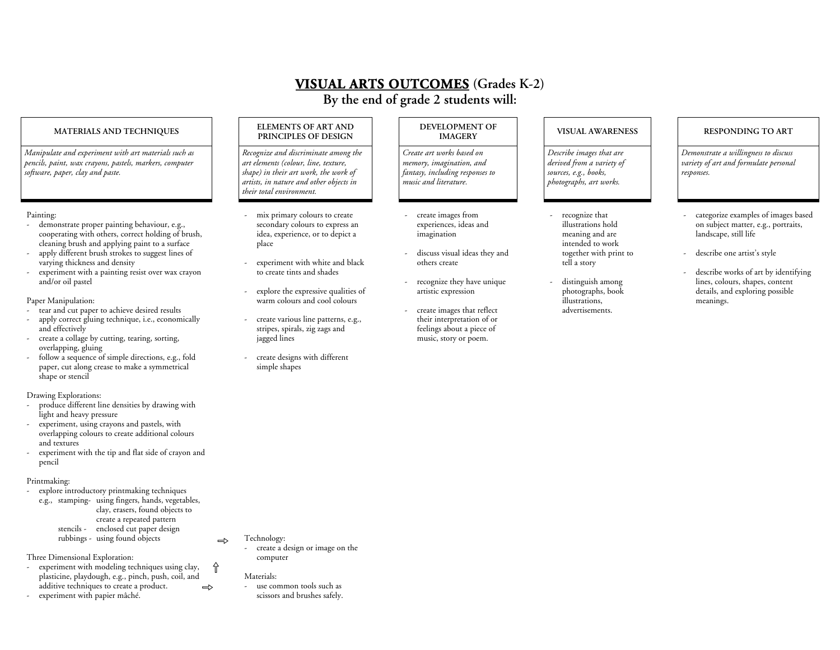# **VISUAL ARTS OUTCOMES (Grades K-2)**

**By the end of grade 2 students will:** 

*Manipulate and experiment with art materials such as pencils, paint, wax crayons, pastels, markers, computer software, paper, clay and paste.* 

#### Painting:

- demonstrate proper painting behaviour, e.g., cooperating with others, correct holding of brush, cleaning brush and applying paint to a surface
- apply different brush strokes to suggest lines of varying thickness and density
- experiment with a painting resist over wax crayon and/or oil pastel

#### Paper Manipulation:

- tear and cut paper to achieve desired results
- apply correct gluing technique, i.e., economically and effectively
- create a collage by cutting, tearing, sorting, overlapping, gluing
- follow a sequence of simple directions, e.g., fold paper, cut along crease to make a symmetrical shape or stencil

#### Drawing Explorations:

- produce different line densities by drawing with light and heavy pressure
- experiment, using crayons and pastels, with overlapping colours to create additional colours and textures
- experiment with the tip and flat side of crayon and pencil

#### Printmaking:

explore introductory printmaking techniques e.g., stamping- using fingers, hands, vegetables, clay, erasers, found objects to create a repeated pattern stencils - enclosed cut paper design

rubbings - using found objects

- Three Dimensional Exploration:
- experiment with modeling techniques using clay, <sup>p</sup>lasticine, playdough, e.g., pinch, push, coil, and additive techniques to create a product. experiment with papier mâché.  $\Rightarrow$ Ì

# MATERIALS AND TECHNIQUES **ELEMENTS OF ART AND DEVELOPMENT OF INAGERY PRINCIPLES OF DESIGN DEVELOPMENT OF INAGERY**

*Recognize and discriminate among the art elements (colour, line, texture, shape) in their art work, the work of artists, in nature and other objects in their total environment.* 

- mix primary colours to create secondary colours to express an idea, experience, or to depict a place
- experiment with white and black to create tints and shades
- explore the expressive qualities of warm colours and cool colours
	- create various line patterns, e.g., stripes, spirals, zig zags and jagged lines
- create designs with different simple shapes

*Create art works based on memory, imagination, and fantasy, including responses to music and literature.* 

- create images from experiences, ideas and imagination
- discuss visual ideas they and others create
- recognize they have unique artistic expression
- create images that reflect their interpretation of or feelings about a piece of music, story or poem.

*Describe images that are derived from a variety of sources, e.g., books, photographs, art works.* 

- recognize that illustrations hold meaning and are intended to work together with print to tell a story
- distinguish among <sup>p</sup>hotographs, book illustrations, advertisements.

*Demonstrate a willingness to discuss variety of art and formulate personal responses.* 

- categorize examples of images based on subject matter, e.g., portraits, landscape, still life
- describe one artist's style
- describe works of art by identifying lines, colours, shapes, content details, and exploring possible meanings.

### Technology:

 $\Rightarrow$ 

- create a design or image on the computer

### Materials:

- use common tools such as scissors and brushes safely.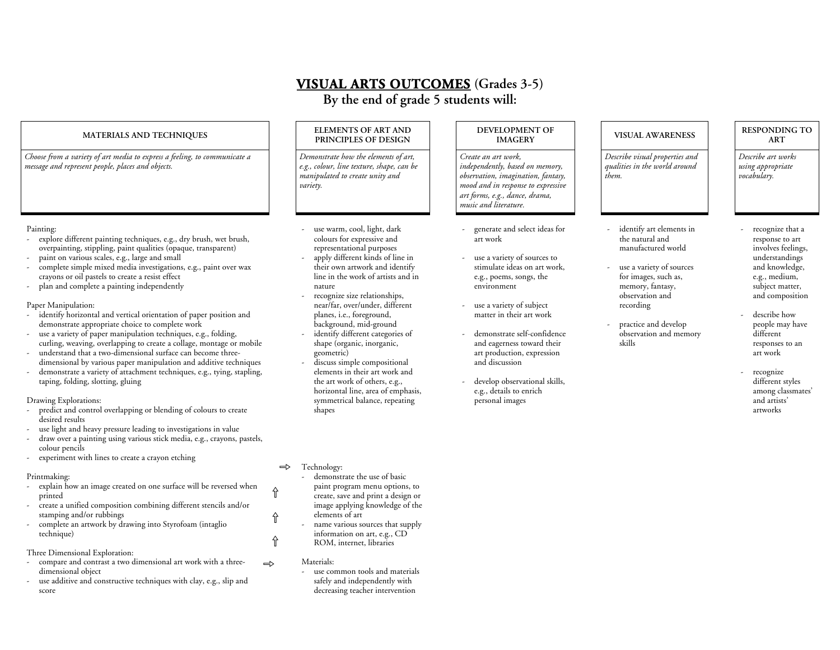# **VISUAL ARTS OUTCOMES (Grades 3-5)**

**By the end of grade 5 students will:** 

### **MATERI ALS AND TECHNIQUES ELE**

*Choose fro m a variety of art media to express a feeling, to com municate a message and represent people, places and objects.* 

#### Painting:

- explore different painting techniques, e.g., dry brush, wet brush, overpainting, stippling, paint qualities (opaque, transparent)
- paint on various scales, e.g., large and s mall
- complete simple mixed media investigations, e.g., paint over wax crayons or oil pastels to create a resist effect
- plan and complete a painting independently

#### Paper Manipulation:

- identify horizontal and vertical orientation of paper position and demonstrate appropriate choice to complete work
- use a variety of paper manipulation techniques, e.g., folding, curling, weaving, overlapping to create a collage, montage or mobile
- understand that a t wo-dimensional surface can become threedimensional by various paper manipulation and additive techniques
- demonstrate a variety of attachment techniques, e.g., tying, stapling, taping, folding, slotting, gluing

#### Drawing Explorations:

- predict and control overlapping or blending of colours to create desired results
- use light and heavy pressure leading to investigations in value
- draw over a painting using various stick media, e.g., crayons, pastels, colour pencils
- experiment with lines to create a crayon etching

### Printmaking:

- explain how an image created on one surface will be reversed when printed
- create a unified composition combining different stencils and/or stamping and/or rubbings
- complete an artwork by drawing into Styrofoam (intaglio technique)

Three Dimensional Exploration:

- compare and contrast a two dimensional art work with a threedimensional object  $\Rightarrow$
- use additive and constructive techniques with clay, e.g., slip and score

#### **MENTS OF ART AND PRINCIPLES OF DESIGN**

*Demonstrate how the elements of art, e.g., colour, line texture, shape, can be manipulated to create unity and variety.* 

- use warm, cool, light, dark colours for expressive and representational purposes
- apply different kinds of line in their own artwork and identify line in the work of artists and in nature
- recognize size relationships, near/far, over/under, different <sup>p</sup>lanes, i.e., foreground, background, mid-ground
- identify different categories of shape (organic, inorganic, geometric)
- discuss simple compositional elements in their art work and the art work of others, e.g., horizontal line, area of emphasis, symmetrical balance, repeating shapes

 $\Rightarrow$ 

Ì

 $\hat{\mathbb{I}}$ 

Ì

### Technology:

- demonstrate the use of basic paint program menu options, to create, save and print a design or image applying kno wledge of the elements of art
- name various sources that supply information on art, e.g., CD ROM, internet, libraries

#### Materials:

use common tools and materials safely and independently with decreasing teacher intervention

#### **DEVELOPMENT OF IMAGERY**

*Create an art work, independently, based on memory, observation, i magination, fantasy, mood and in response to expressive art forms, e.g., dance, drama, music and literature.* 

- generate and select ideas for art work
- use a variety of sources to stimulate ideas on art work, e.g., poems, songs, the environment
- use a variety of subject matter in their art work
- demonstrate self-confidence and eagerness toward their art production, expression and discussion
- develop observational skills, e.g., details to enrich personal images

#### **VISUAL AWARENESSRESPONDING TO**

*Describe visual properties and qualities in the world around them.* 

- identify art elements in the natural and manufactured world
- use a variety of sources for images, such as, memory, fantasy, observation and recording
- practice and develop observation and memory skills

**ART***Describe art works using appropriate* 

*vocabulary.* 

- recognize that a response to art involves feelings, understandings and knowledge, e.g., medium, subject matter, and composition
- describe how people may have different responses to an art work
- recognize different styles among classmates' and artists' artworks